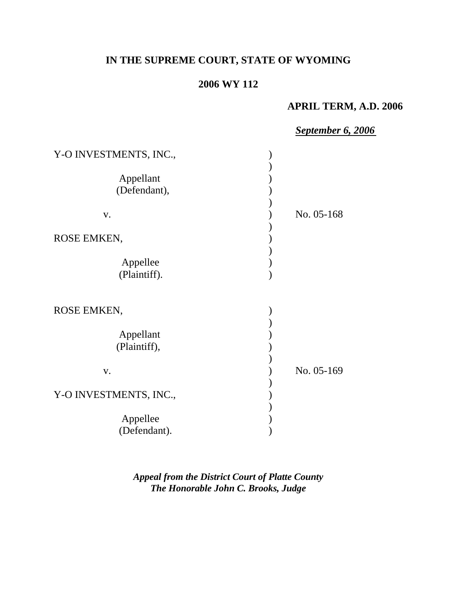# **IN THE SUPREME COURT, STATE OF WYOMING**

# **2006 WY 112**

## **APRIL TERM, A.D. 2006**

| <b>September 6, 2006</b> |  |
|--------------------------|--|
|                          |  |
| No. 05-168               |  |
|                          |  |
|                          |  |
|                          |  |

*Appeal from the District Court of Platte County The Honorable John C. Brooks, Judge*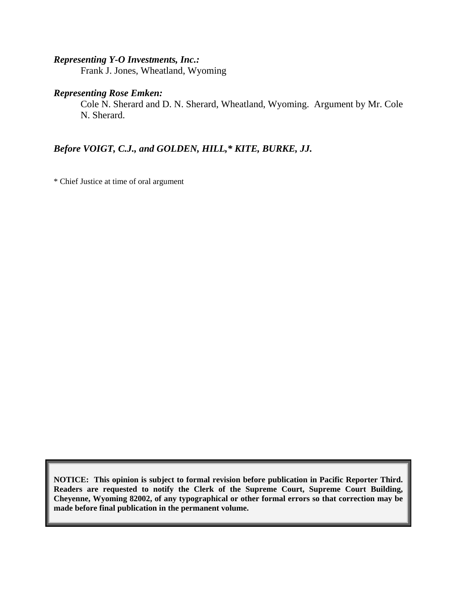#### *Representing Y-O Investments, Inc.:*

Frank J. Jones, Wheatland, Wyoming

#### *Representing Rose Emken:*

Cole N. Sherard and D. N. Sherard, Wheatland, Wyoming. Argument by Mr. Cole N. Sherard.

### *Before VOIGT, C.J., and GOLDEN, HILL,\* KITE, BURKE, JJ.*

\* Chief Justice at time of oral argument

**NOTICE: This opinion is subject to formal revision before publication in Pacific Reporter Third. Readers are requested to notify the Clerk of the Supreme Court, Supreme Court Building, Cheyenne, Wyoming 82002, of any typographical or other formal errors so that correction may be made before final publication in the permanent volume.**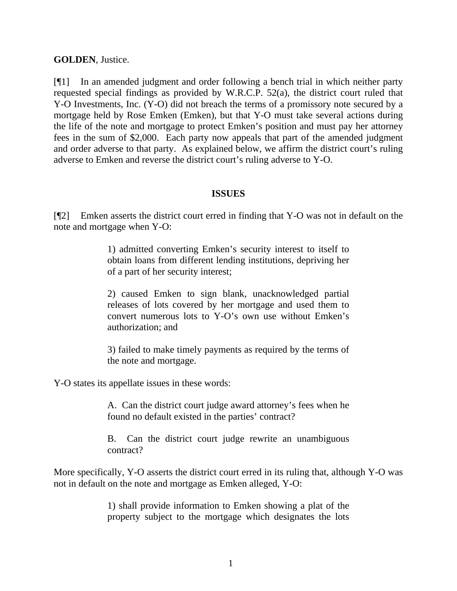#### **GOLDEN**, Justice.

[¶1] In an amended judgment and order following a bench trial in which neither party requested special findings as provided by W.R.C.P. 52(a), the district court ruled that Y-O Investments, Inc. (Y-O) did not breach the terms of a promissory note secured by a mortgage held by Rose Emken (Emken), but that Y-O must take several actions during the life of the note and mortgage to protect Emken's position and must pay her attorney fees in the sum of \$2,000. Each party now appeals that part of the amended judgment and order adverse to that party. As explained below, we affirm the district court's ruling adverse to Emken and reverse the district court's ruling adverse to Y-O.

#### **ISSUES**

[¶2] Emken asserts the district court erred in finding that Y-O was not in default on the note and mortgage when Y-O:

> 1) admitted converting Emken's security interest to itself to obtain loans from different lending institutions, depriving her of a part of her security interest;

> 2) caused Emken to sign blank, unacknowledged partial releases of lots covered by her mortgage and used them to convert numerous lots to Y-O's own use without Emken's authorization; and

> 3) failed to make timely payments as required by the terms of the note and mortgage.

Y-O states its appellate issues in these words:

A. Can the district court judge award attorney's fees when he found no default existed in the parties' contract?

B. Can the district court judge rewrite an unambiguous contract?

More specifically, Y-O asserts the district court erred in its ruling that, although Y-O was not in default on the note and mortgage as Emken alleged, Y-O:

> 1) shall provide information to Emken showing a plat of the property subject to the mortgage which designates the lots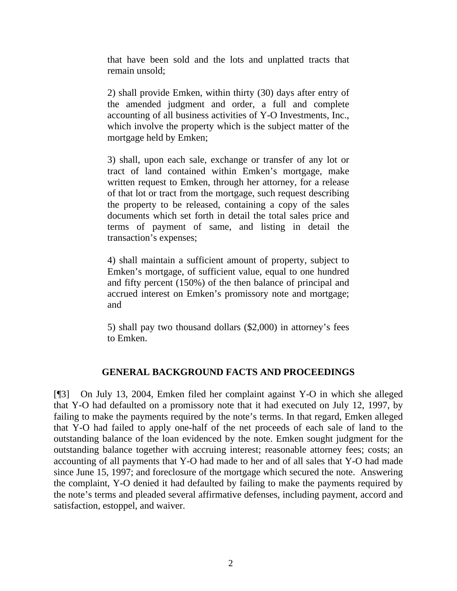that have been sold and the lots and unplatted tracts that remain unsold;

2) shall provide Emken, within thirty (30) days after entry of the amended judgment and order, a full and complete accounting of all business activities of Y-O Investments, Inc., which involve the property which is the subject matter of the mortgage held by Emken;

3) shall, upon each sale, exchange or transfer of any lot or tract of land contained within Emken's mortgage, make written request to Emken, through her attorney, for a release of that lot or tract from the mortgage, such request describing the property to be released, containing a copy of the sales documents which set forth in detail the total sales price and terms of payment of same, and listing in detail the transaction's expenses;

4) shall maintain a sufficient amount of property, subject to Emken's mortgage, of sufficient value, equal to one hundred and fifty percent (150%) of the then balance of principal and accrued interest on Emken's promissory note and mortgage; and

5) shall pay two thousand dollars (\$2,000) in attorney's fees to Emken.

### **GENERAL BACKGROUND FACTS AND PROCEEDINGS**

[¶3] On July 13, 2004, Emken filed her complaint against Y-O in which she alleged that Y-O had defaulted on a promissory note that it had executed on July 12, 1997, by failing to make the payments required by the note's terms. In that regard, Emken alleged that Y-O had failed to apply one-half of the net proceeds of each sale of land to the outstanding balance of the loan evidenced by the note. Emken sought judgment for the outstanding balance together with accruing interest; reasonable attorney fees; costs; an accounting of all payments that Y-O had made to her and of all sales that Y-O had made since June 15, 1997; and foreclosure of the mortgage which secured the note. Answering the complaint, Y-O denied it had defaulted by failing to make the payments required by the note's terms and pleaded several affirmative defenses, including payment, accord and satisfaction, estoppel, and waiver.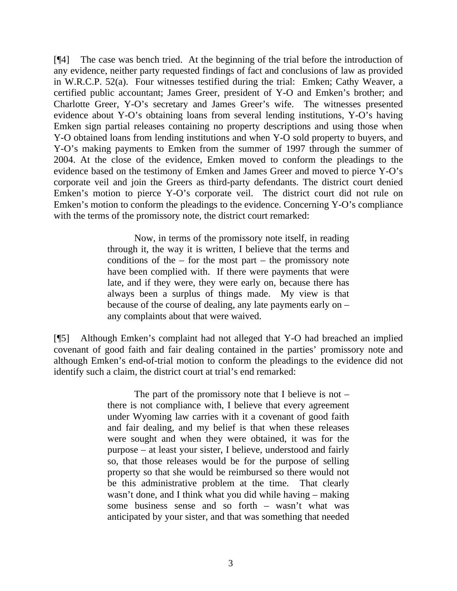[¶4] The case was bench tried. At the beginning of the trial before the introduction of any evidence, neither party requested findings of fact and conclusions of law as provided in W.R.C.P. 52(a). Four witnesses testified during the trial: Emken; Cathy Weaver, a certified public accountant; James Greer, president of Y-O and Emken's brother; and Charlotte Greer, Y-O's secretary and James Greer's wife. The witnesses presented evidence about Y-O's obtaining loans from several lending institutions, Y-O's having Emken sign partial releases containing no property descriptions and using those when Y-O obtained loans from lending institutions and when Y-O sold property to buyers, and Y-O's making payments to Emken from the summer of 1997 through the summer of 2004. At the close of the evidence, Emken moved to conform the pleadings to the evidence based on the testimony of Emken and James Greer and moved to pierce Y-O's corporate veil and join the Greers as third-party defendants. The district court denied Emken's motion to pierce Y-O's corporate veil. The district court did not rule on Emken's motion to conform the pleadings to the evidence. Concerning Y-O's compliance with the terms of the promissory note, the district court remarked:

> Now, in terms of the promissory note itself, in reading through it, the way it is written, I believe that the terms and conditions of the – for the most part – the promissory note have been complied with. If there were payments that were late, and if they were, they were early on, because there has always been a surplus of things made. My view is that because of the course of dealing, any late payments early on – any complaints about that were waived.

[¶5] Although Emken's complaint had not alleged that Y-O had breached an implied covenant of good faith and fair dealing contained in the parties' promissory note and although Emken's end-of-trial motion to conform the pleadings to the evidence did not identify such a claim, the district court at trial's end remarked:

> The part of the promissory note that I believe is not  $$ there is not compliance with, I believe that every agreement under Wyoming law carries with it a covenant of good faith and fair dealing, and my belief is that when these releases were sought and when they were obtained, it was for the purpose – at least your sister, I believe, understood and fairly so, that those releases would be for the purpose of selling property so that she would be reimbursed so there would not be this administrative problem at the time. That clearly wasn't done, and I think what you did while having – making some business sense and so forth – wasn't what was anticipated by your sister, and that was something that needed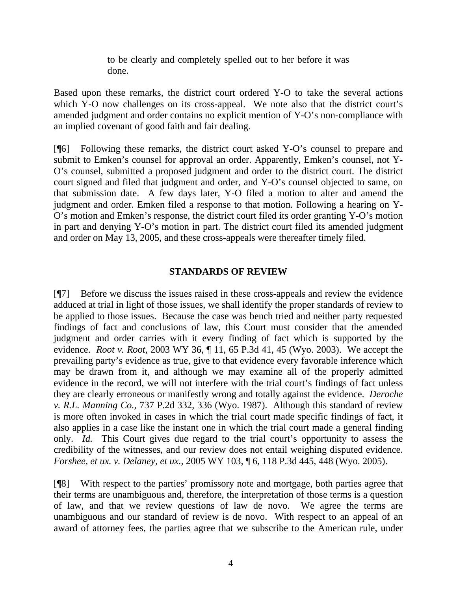to be clearly and completely spelled out to her before it was done.

Based upon these remarks, the district court ordered Y-O to take the several actions which Y-O now challenges on its cross-appeal. We note also that the district court's amended judgment and order contains no explicit mention of Y-O's non-compliance with an implied covenant of good faith and fair dealing.

[¶6] Following these remarks, the district court asked Y-O's counsel to prepare and submit to Emken's counsel for approval an order. Apparently, Emken's counsel, not Y-O's counsel, submitted a proposed judgment and order to the district court. The district court signed and filed that judgment and order, and Y-O's counsel objected to same, on that submission date. A few days later, Y-O filed a motion to alter and amend the judgment and order. Emken filed a response to that motion. Following a hearing on Y-O's motion and Emken's response, the district court filed its order granting Y-O's motion in part and denying Y-O's motion in part. The district court filed its amended judgment and order on May 13, 2005, and these cross-appeals were thereafter timely filed.

#### **STANDARDS OF REVIEW**

[¶7] Before we discuss the issues raised in these cross-appeals and review the evidence adduced at trial in light of those issues, we shall identify the proper standards of review to be applied to those issues. Because the case was bench tried and neither party requested findings of fact and conclusions of law, this Court must consider that the amended judgment and order carries with it every finding of fact which is supported by the evidence. *Root v. Root*, 2003 WY 36, ¶ 11, 65 P.3d 41, 45 (Wyo. 2003). We accept the prevailing party's evidence as true, give to that evidence every favorable inference which may be drawn from it, and although we may examine all of the properly admitted evidence in the record, we will not interfere with the trial court's findings of fact unless they are clearly erroneous or manifestly wrong and totally against the evidence. *Deroche v. R.L. Manning Co.*, 737 P.2d 332, 336 (Wyo. 1987). Although this standard of review is more often invoked in cases in which the trial court made specific findings of fact, it also applies in a case like the instant one in which the trial court made a general finding only. *Id.* This Court gives due regard to the trial court's opportunity to assess the credibility of the witnesses, and our review does not entail weighing disputed evidence. *Forshee, et ux. v. Delaney, et ux.*, 2005 WY 103, ¶ 6, 118 P.3d 445, 448 (Wyo. 2005).

[¶8] With respect to the parties' promissory note and mortgage, both parties agree that their terms are unambiguous and, therefore, the interpretation of those terms is a question of law, and that we review questions of law de novo. We agree the terms are unambiguous and our standard of review is de novo. With respect to an appeal of an award of attorney fees, the parties agree that we subscribe to the American rule, under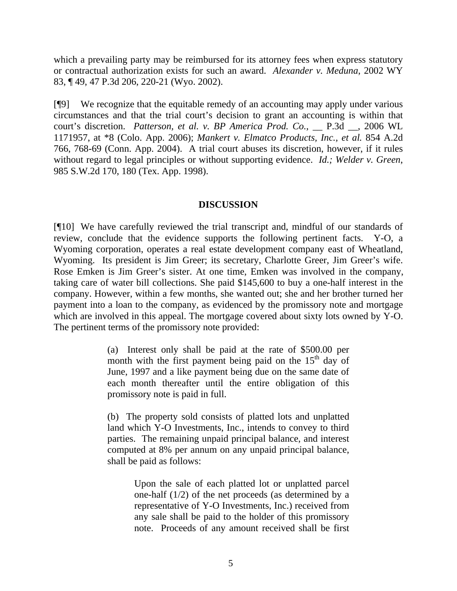which a prevailing party may be reimbursed for its attorney fees when express statutory or contractual authorization exists for such an award. *Alexander v. Meduna*, 2002 WY 83, ¶ 49, 47 P.3d 206, 220-21 (Wyo. 2002).

[¶9] We recognize that the equitable remedy of an accounting may apply under various circumstances and that the trial court's decision to grant an accounting is within that court's discretion. *Patterson, et al. v. BP America Prod. Co.*, \_\_ P.3d \_\_, 2006 WL 1171957, at \*8 (Colo. App. 2006); *Mankert v. Elmatco Products, Inc., et al.* 854 A.2d 766, 768-69 (Conn. App. 2004). A trial court abuses its discretion, however, if it rules without regard to legal principles or without supporting evidence. *Id.; Welder v. Green*, 985 S.W.2d 170, 180 (Tex. App. 1998).

#### **DISCUSSION**

[¶10] We have carefully reviewed the trial transcript and, mindful of our standards of review, conclude that the evidence supports the following pertinent facts. Y-O, a Wyoming corporation, operates a real estate development company east of Wheatland, Wyoming. Its president is Jim Greer; its secretary, Charlotte Greer, Jim Greer's wife. Rose Emken is Jim Greer's sister. At one time, Emken was involved in the company, taking care of water bill collections. She paid \$145,600 to buy a one-half interest in the company. However, within a few months, she wanted out; she and her brother turned her payment into a loan to the company, as evidenced by the promissory note and mortgage which are involved in this appeal. The mortgage covered about sixty lots owned by Y-O. The pertinent terms of the promissory note provided:

> (a) Interest only shall be paid at the rate of \$500.00 per month with the first payment being paid on the  $15<sup>th</sup>$  day of June, 1997 and a like payment being due on the same date of each month thereafter until the entire obligation of this promissory note is paid in full.

> (b) The property sold consists of platted lots and unplatted land which Y-O Investments, Inc., intends to convey to third parties. The remaining unpaid principal balance, and interest computed at 8% per annum on any unpaid principal balance, shall be paid as follows:

> > Upon the sale of each platted lot or unplatted parcel one-half (1/2) of the net proceeds (as determined by a representative of Y-O Investments, Inc.) received from any sale shall be paid to the holder of this promissory note. Proceeds of any amount received shall be first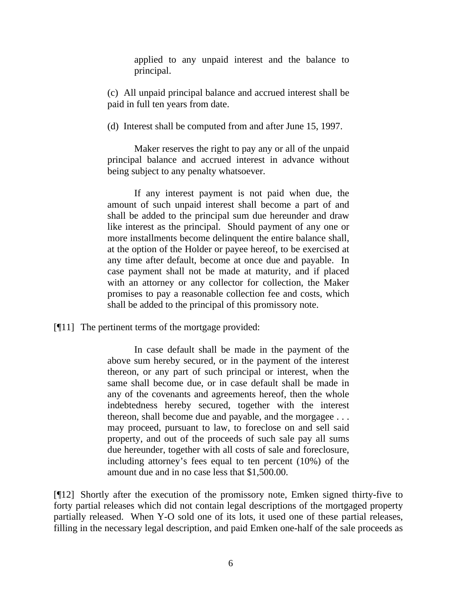applied to any unpaid interest and the balance to principal.

(c) All unpaid principal balance and accrued interest shall be paid in full ten years from date.

(d) Interest shall be computed from and after June 15, 1997.

 Maker reserves the right to pay any or all of the unpaid principal balance and accrued interest in advance without being subject to any penalty whatsoever.

 If any interest payment is not paid when due, the amount of such unpaid interest shall become a part of and shall be added to the principal sum due hereunder and draw like interest as the principal. Should payment of any one or more installments become delinquent the entire balance shall, at the option of the Holder or payee hereof, to be exercised at any time after default, become at once due and payable. In case payment shall not be made at maturity, and if placed with an attorney or any collector for collection, the Maker promises to pay a reasonable collection fee and costs, which shall be added to the principal of this promissory note.

[¶11] The pertinent terms of the mortgage provided:

 In case default shall be made in the payment of the above sum hereby secured, or in the payment of the interest thereon, or any part of such principal or interest, when the same shall become due, or in case default shall be made in any of the covenants and agreements hereof, then the whole indebtedness hereby secured, together with the interest thereon, shall become due and payable, and the morgagee . . . may proceed, pursuant to law, to foreclose on and sell said property, and out of the proceeds of such sale pay all sums due hereunder, together with all costs of sale and foreclosure, including attorney's fees equal to ten percent (10%) of the amount due and in no case less that \$1,500.00.

[¶12] Shortly after the execution of the promissory note, Emken signed thirty-five to forty partial releases which did not contain legal descriptions of the mortgaged property partially released. When Y-O sold one of its lots, it used one of these partial releases, filling in the necessary legal description, and paid Emken one-half of the sale proceeds as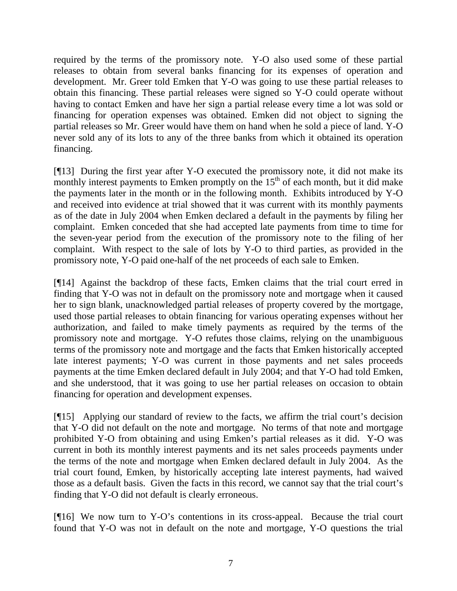required by the terms of the promissory note. Y-O also used some of these partial releases to obtain from several banks financing for its expenses of operation and development. Mr. Greer told Emken that Y-O was going to use these partial releases to obtain this financing. These partial releases were signed so Y-O could operate without having to contact Emken and have her sign a partial release every time a lot was sold or financing for operation expenses was obtained. Emken did not object to signing the partial releases so Mr. Greer would have them on hand when he sold a piece of land. Y-O never sold any of its lots to any of the three banks from which it obtained its operation financing.

[¶13] During the first year after Y-O executed the promissory note, it did not make its monthly interest payments to Emken promptly on the  $15<sup>th</sup>$  of each month, but it did make the payments later in the month or in the following month. Exhibits introduced by Y-O and received into evidence at trial showed that it was current with its monthly payments as of the date in July 2004 when Emken declared a default in the payments by filing her complaint. Emken conceded that she had accepted late payments from time to time for the seven-year period from the execution of the promissory note to the filing of her complaint. With respect to the sale of lots by Y-O to third parties, as provided in the promissory note, Y-O paid one-half of the net proceeds of each sale to Emken.

[¶14] Against the backdrop of these facts, Emken claims that the trial court erred in finding that Y-O was not in default on the promissory note and mortgage when it caused her to sign blank, unacknowledged partial releases of property covered by the mortgage, used those partial releases to obtain financing for various operating expenses without her authorization, and failed to make timely payments as required by the terms of the promissory note and mortgage. Y-O refutes those claims, relying on the unambiguous terms of the promissory note and mortgage and the facts that Emken historically accepted late interest payments; Y-O was current in those payments and net sales proceeds payments at the time Emken declared default in July 2004; and that Y-O had told Emken, and she understood, that it was going to use her partial releases on occasion to obtain financing for operation and development expenses.

[¶15] Applying our standard of review to the facts, we affirm the trial court's decision that Y-O did not default on the note and mortgage. No terms of that note and mortgage prohibited Y-O from obtaining and using Emken's partial releases as it did. Y-O was current in both its monthly interest payments and its net sales proceeds payments under the terms of the note and mortgage when Emken declared default in July 2004. As the trial court found, Emken, by historically accepting late interest payments, had waived those as a default basis. Given the facts in this record, we cannot say that the trial court's finding that Y-O did not default is clearly erroneous.

[¶16] We now turn to Y-O's contentions in its cross-appeal. Because the trial court found that Y-O was not in default on the note and mortgage, Y-O questions the trial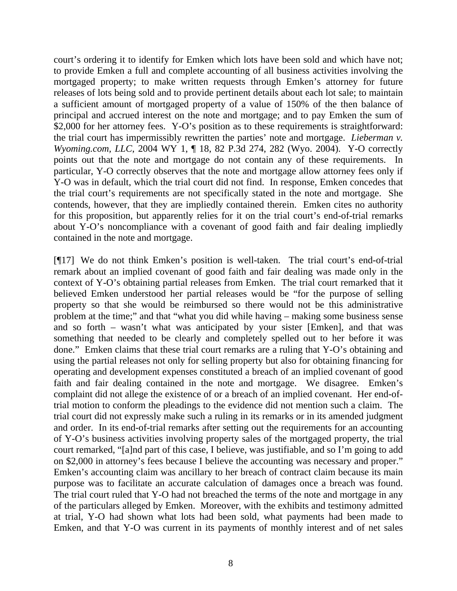court's ordering it to identify for Emken which lots have been sold and which have not; to provide Emken a full and complete accounting of all business activities involving the mortgaged property; to make written requests through Emken's attorney for future releases of lots being sold and to provide pertinent details about each lot sale; to maintain a sufficient amount of mortgaged property of a value of 150% of the then balance of principal and accrued interest on the note and mortgage; and to pay Emken the sum of \$2,000 for her attorney fees. Y-O's position as to these requirements is straightforward: the trial court has impermissibly rewritten the parties' note and mortgage. *Lieberman v. Wyoming.com, LLC*, 2004 WY 1, ¶ 18, 82 P.3d 274, 282 (Wyo. 2004). Y-O correctly points out that the note and mortgage do not contain any of these requirements. In particular, Y-O correctly observes that the note and mortgage allow attorney fees only if Y-O was in default, which the trial court did not find. In response, Emken concedes that the trial court's requirements are not specifically stated in the note and mortgage. She contends, however, that they are impliedly contained therein. Emken cites no authority for this proposition, but apparently relies for it on the trial court's end-of-trial remarks about Y-O's noncompliance with a covenant of good faith and fair dealing impliedly contained in the note and mortgage.

[¶17] We do not think Emken's position is well-taken. The trial court's end-of-trial remark about an implied covenant of good faith and fair dealing was made only in the context of Y-O's obtaining partial releases from Emken. The trial court remarked that it believed Emken understood her partial releases would be "for the purpose of selling property so that she would be reimbursed so there would not be this administrative problem at the time;" and that "what you did while having – making some business sense and so forth – wasn't what was anticipated by your sister [Emken], and that was something that needed to be clearly and completely spelled out to her before it was done." Emken claims that these trial court remarks are a ruling that Y-O's obtaining and using the partial releases not only for selling property but also for obtaining financing for operating and development expenses constituted a breach of an implied covenant of good faith and fair dealing contained in the note and mortgage. We disagree. Emken's complaint did not allege the existence of or a breach of an implied covenant. Her end-oftrial motion to conform the pleadings to the evidence did not mention such a claim. The trial court did not expressly make such a ruling in its remarks or in its amended judgment and order. In its end-of-trial remarks after setting out the requirements for an accounting of Y-O's business activities involving property sales of the mortgaged property, the trial court remarked, "[a]nd part of this case, I believe, was justifiable, and so I'm going to add on \$2,000 in attorney's fees because I believe the accounting was necessary and proper." Emken's accounting claim was ancillary to her breach of contract claim because its main purpose was to facilitate an accurate calculation of damages once a breach was found. The trial court ruled that Y-O had not breached the terms of the note and mortgage in any of the particulars alleged by Emken. Moreover, with the exhibits and testimony admitted at trial, Y-O had shown what lots had been sold, what payments had been made to Emken, and that Y-O was current in its payments of monthly interest and of net sales